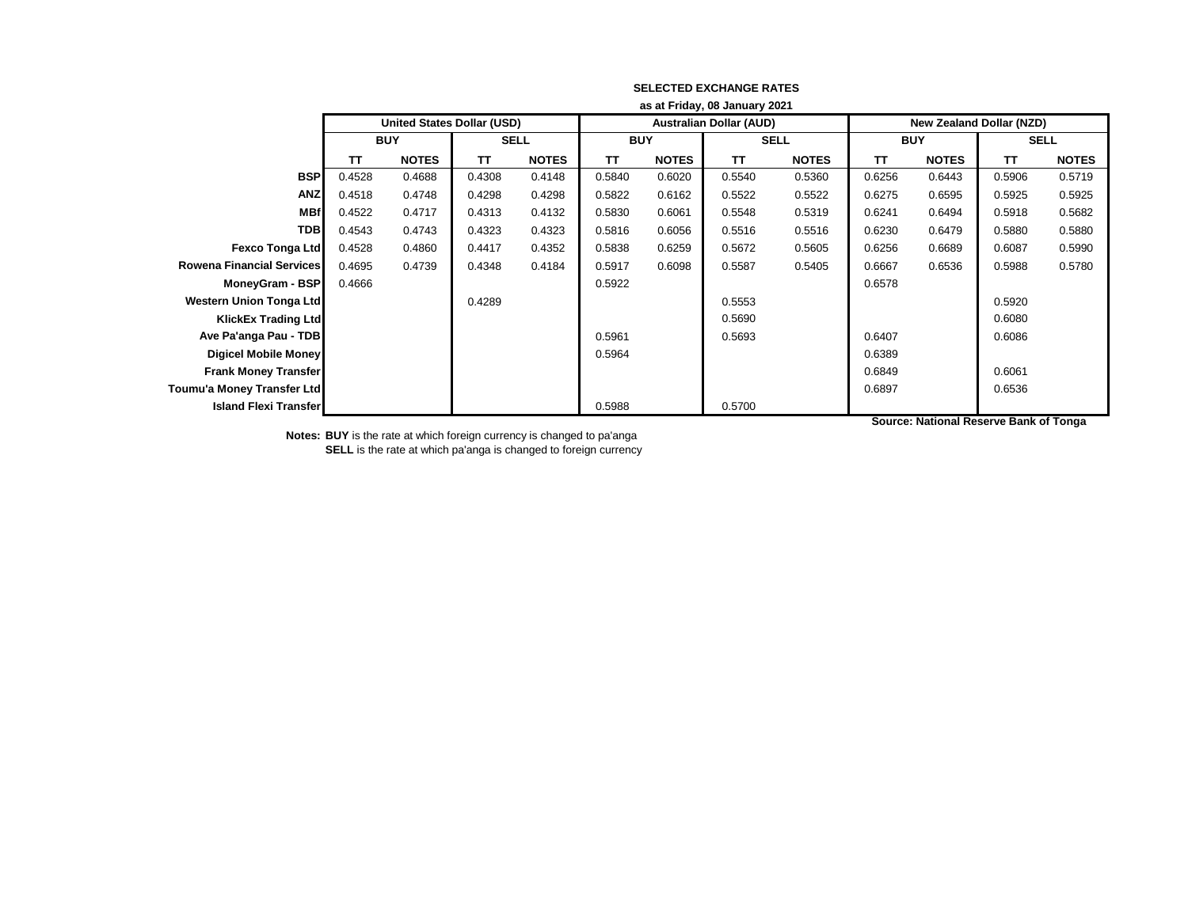|                                  | as at Friday, 08 January 2021 |                                   |             |              |            |              |                                |              |                                 |              |             |              |
|----------------------------------|-------------------------------|-----------------------------------|-------------|--------------|------------|--------------|--------------------------------|--------------|---------------------------------|--------------|-------------|--------------|
|                                  |                               | <b>United States Dollar (USD)</b> |             |              |            |              | <b>Australian Dollar (AUD)</b> |              | <b>New Zealand Dollar (NZD)</b> |              |             |              |
|                                  | <b>BUY</b>                    |                                   | <b>SELL</b> |              | <b>BUY</b> |              | <b>SELL</b>                    |              | <b>BUY</b>                      |              | <b>SELL</b> |              |
|                                  | <b>TT</b>                     | <b>NOTES</b>                      | <b>TT</b>   | <b>NOTES</b> | <b>TT</b>  | <b>NOTES</b> | <b>TT</b>                      | <b>NOTES</b> | <b>TT</b>                       | <b>NOTES</b> | <b>TT</b>   | <b>NOTES</b> |
| <b>BSP</b>                       | 0.4528                        | 0.4688                            | 0.4308      | 0.4148       | 0.5840     | 0.6020       | 0.5540                         | 0.5360       | 0.6256                          | 0.6443       | 0.5906      | 0.5719       |
| <b>ANZ</b>                       | 0.4518                        | 0.4748                            | 0.4298      | 0.4298       | 0.5822     | 0.6162       | 0.5522                         | 0.5522       | 0.6275                          | 0.6595       | 0.5925      | 0.5925       |
| <b>MBf</b>                       | 0.4522                        | 0.4717                            | 0.4313      | 0.4132       | 0.5830     | 0.6061       | 0.5548                         | 0.5319       | 0.6241                          | 0.6494       | 0.5918      | 0.5682       |
| <b>TDB</b>                       | 0.4543                        | 0.4743                            | 0.4323      | 0.4323       | 0.5816     | 0.6056       | 0.5516                         | 0.5516       | 0.6230                          | 0.6479       | 0.5880      | 0.5880       |
| <b>Fexco Tonga Ltd</b>           | 0.4528                        | 0.4860                            | 0.4417      | 0.4352       | 0.5838     | 0.6259       | 0.5672                         | 0.5605       | 0.6256                          | 0.6689       | 0.6087      | 0.5990       |
| <b>Rowena Financial Services</b> | 0.4695                        | 0.4739                            | 0.4348      | 0.4184       | 0.5917     | 0.6098       | 0.5587                         | 0.5405       | 0.6667                          | 0.6536       | 0.5988      | 0.5780       |
| MoneyGram - BSP                  | 0.4666                        |                                   |             |              | 0.5922     |              |                                |              | 0.6578                          |              |             |              |
| <b>Western Union Tonga Ltd</b>   |                               |                                   | 0.4289      |              |            |              | 0.5553                         |              |                                 |              | 0.5920      |              |
| KlickEx Trading Ltd              |                               |                                   |             |              |            |              | 0.5690                         |              |                                 |              | 0.6080      |              |
| Ave Pa'anga Pau - TDB            |                               |                                   |             |              | 0.5961     |              | 0.5693                         |              | 0.6407                          |              | 0.6086      |              |
| <b>Digicel Mobile Money</b>      |                               |                                   |             |              | 0.5964     |              |                                |              | 0.6389                          |              |             |              |
| <b>Frank Money Transfer</b>      |                               |                                   |             |              |            |              |                                |              | 0.6849                          |              | 0.6061      |              |
| Toumu'a Money Transfer Ltd       |                               |                                   |             |              |            |              |                                |              | 0.6897                          |              | 0.6536      |              |
| <b>Island Flexi Transfer</b>     |                               |                                   |             |              | 0.5988     |              | 0.5700                         |              |                                 |              |             |              |

**Notes: BUY** is the rate at which foreign currency is changed to pa'anga **SELL** is the rate at which pa'anga is changed to foreign currency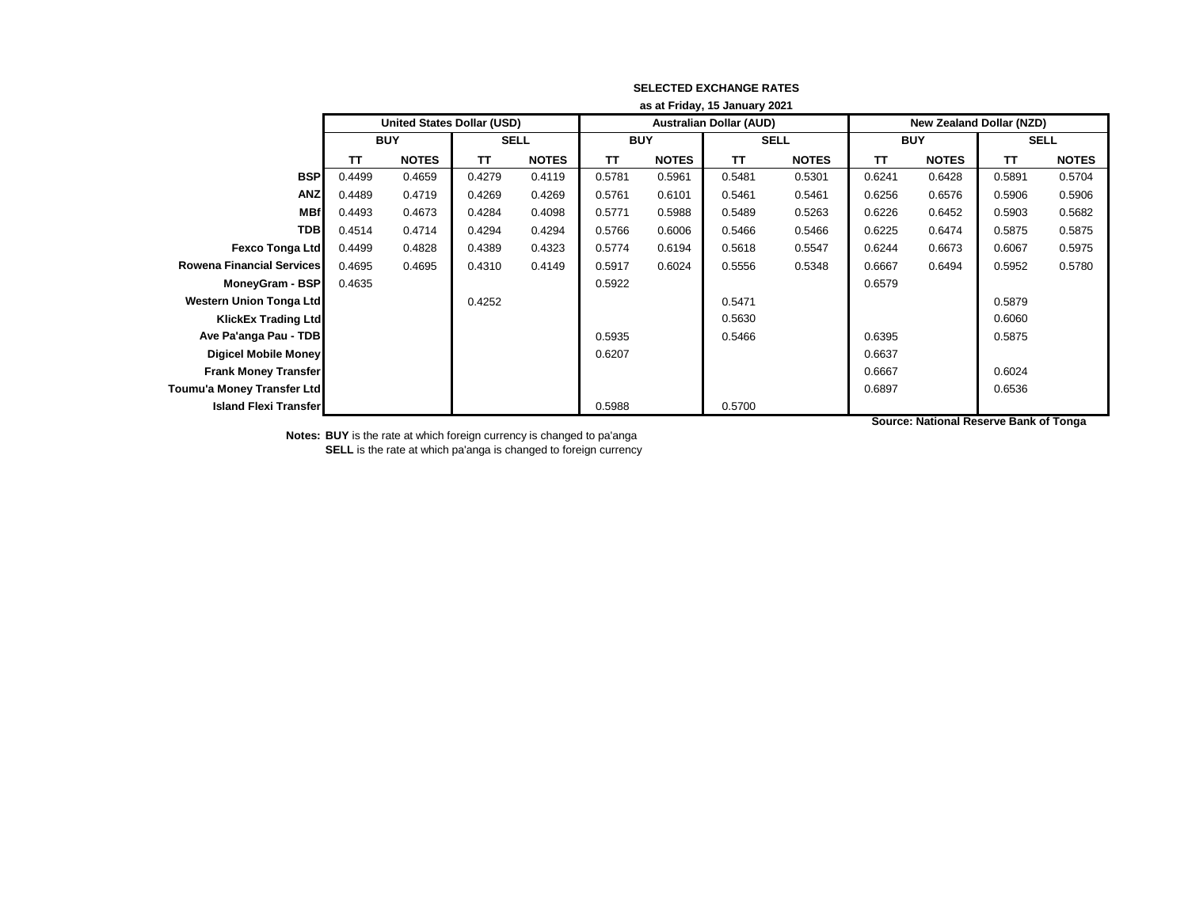|                                  | as at Friday, 15 January 2021 |                                   |             |              |            |              |                                |              |                                 |              |             |              |
|----------------------------------|-------------------------------|-----------------------------------|-------------|--------------|------------|--------------|--------------------------------|--------------|---------------------------------|--------------|-------------|--------------|
|                                  |                               | <b>United States Dollar (USD)</b> |             |              |            |              | <b>Australian Dollar (AUD)</b> |              | <b>New Zealand Dollar (NZD)</b> |              |             |              |
|                                  | <b>BUY</b>                    |                                   | <b>SELL</b> |              | <b>BUY</b> |              | <b>SELL</b>                    |              | <b>BUY</b>                      |              | <b>SELL</b> |              |
|                                  | TΤ                            | <b>NOTES</b>                      | TΤ          | <b>NOTES</b> | TΤ         | <b>NOTES</b> | TΤ                             | <b>NOTES</b> | <b>TT</b>                       | <b>NOTES</b> | <b>TT</b>   | <b>NOTES</b> |
| <b>BSP</b>                       | 0.4499                        | 0.4659                            | 0.4279      | 0.4119       | 0.5781     | 0.5961       | 0.5481                         | 0.5301       | 0.6241                          | 0.6428       | 0.5891      | 0.5704       |
| <b>ANZ</b>                       | 0.4489                        | 0.4719                            | 0.4269      | 0.4269       | 0.5761     | 0.6101       | 0.5461                         | 0.5461       | 0.6256                          | 0.6576       | 0.5906      | 0.5906       |
| <b>MBf</b>                       | 0.4493                        | 0.4673                            | 0.4284      | 0.4098       | 0.5771     | 0.5988       | 0.5489                         | 0.5263       | 0.6226                          | 0.6452       | 0.5903      | 0.5682       |
| <b>TDB</b>                       | 0.4514                        | 0.4714                            | 0.4294      | 0.4294       | 0.5766     | 0.6006       | 0.5466                         | 0.5466       | 0.6225                          | 0.6474       | 0.5875      | 0.5875       |
| <b>Fexco Tonga Ltd</b>           | 0.4499                        | 0.4828                            | 0.4389      | 0.4323       | 0.5774     | 0.6194       | 0.5618                         | 0.5547       | 0.6244                          | 0.6673       | 0.6067      | 0.5975       |
| <b>Rowena Financial Services</b> | 0.4695                        | 0.4695                            | 0.4310      | 0.4149       | 0.5917     | 0.6024       | 0.5556                         | 0.5348       | 0.6667                          | 0.6494       | 0.5952      | 0.5780       |
| MoneyGram - BSP                  | 0.4635                        |                                   |             |              | 0.5922     |              |                                |              | 0.6579                          |              |             |              |
| Western Union Tonga Ltd          |                               |                                   | 0.4252      |              |            |              | 0.5471                         |              |                                 |              | 0.5879      |              |
| KlickEx Trading Ltd              |                               |                                   |             |              |            |              | 0.5630                         |              |                                 |              | 0.6060      |              |
| Ave Pa'anga Pau - TDB            |                               |                                   |             |              | 0.5935     |              | 0.5466                         |              | 0.6395                          |              | 0.5875      |              |
| <b>Digicel Mobile Money</b>      |                               |                                   |             |              | 0.6207     |              |                                |              | 0.6637                          |              |             |              |
| <b>Frank Money Transfer</b>      |                               |                                   |             |              |            |              |                                |              | 0.6667                          |              | 0.6024      |              |
| Toumu'a Money Transfer Ltd       |                               |                                   |             |              |            |              |                                |              | 0.6897                          |              | 0.6536      |              |
| <b>Island Flexi Transfer</b>     |                               |                                   |             |              | 0.5988     |              | 0.5700                         |              |                                 |              |             |              |

**Notes: BUY** is the rate at which foreign currency is changed to pa'anga **SELL** is the rate at which pa'anga is changed to foreign currency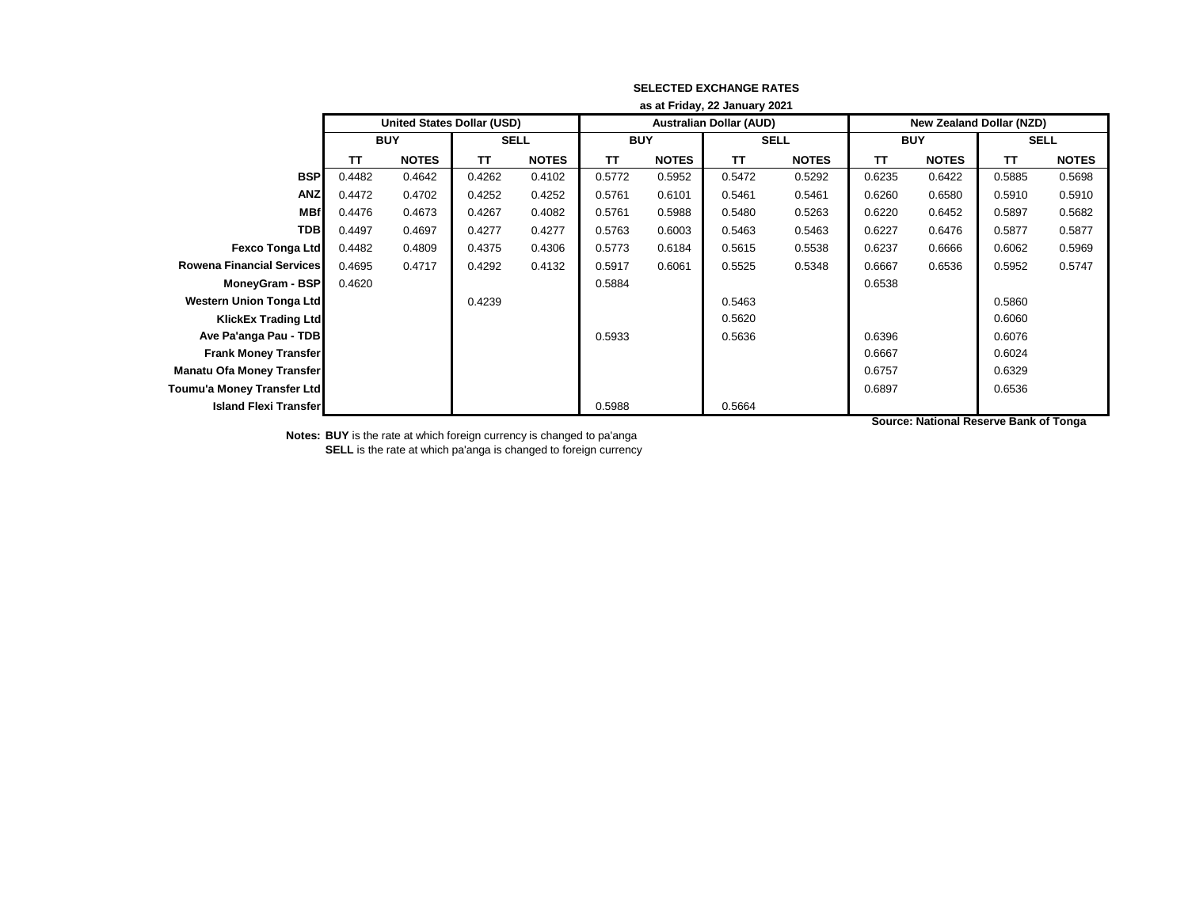|                                  | as at Friday, 22 January 2021 |                                   |             |              |            |              |                                |              |                                 |              |             |              |
|----------------------------------|-------------------------------|-----------------------------------|-------------|--------------|------------|--------------|--------------------------------|--------------|---------------------------------|--------------|-------------|--------------|
|                                  |                               | <b>United States Dollar (USD)</b> |             |              |            |              | <b>Australian Dollar (AUD)</b> |              | <b>New Zealand Dollar (NZD)</b> |              |             |              |
|                                  | <b>BUY</b>                    |                                   | <b>SELL</b> |              | <b>BUY</b> |              | <b>SELL</b>                    |              | <b>BUY</b>                      |              | <b>SELL</b> |              |
|                                  | TΤ                            | <b>NOTES</b>                      | TΤ          | <b>NOTES</b> | <b>TT</b>  | <b>NOTES</b> | TΤ                             | <b>NOTES</b> | <b>TT</b>                       | <b>NOTES</b> | <b>TT</b>   | <b>NOTES</b> |
| <b>BSP</b>                       | 0.4482                        | 0.4642                            | 0.4262      | 0.4102       | 0.5772     | 0.5952       | 0.5472                         | 0.5292       | 0.6235                          | 0.6422       | 0.5885      | 0.5698       |
| <b>ANZ</b>                       | 0.4472                        | 0.4702                            | 0.4252      | 0.4252       | 0.5761     | 0.6101       | 0.5461                         | 0.5461       | 0.6260                          | 0.6580       | 0.5910      | 0.5910       |
| <b>MBf</b>                       | 0.4476                        | 0.4673                            | 0.4267      | 0.4082       | 0.5761     | 0.5988       | 0.5480                         | 0.5263       | 0.6220                          | 0.6452       | 0.5897      | 0.5682       |
| <b>TDB</b>                       | 0.4497                        | 0.4697                            | 0.4277      | 0.4277       | 0.5763     | 0.6003       | 0.5463                         | 0.5463       | 0.6227                          | 0.6476       | 0.5877      | 0.5877       |
| <b>Fexco Tonga Ltd</b>           | 0.4482                        | 0.4809                            | 0.4375      | 0.4306       | 0.5773     | 0.6184       | 0.5615                         | 0.5538       | 0.6237                          | 0.6666       | 0.6062      | 0.5969       |
| <b>Rowena Financial Services</b> | 0.4695                        | 0.4717                            | 0.4292      | 0.4132       | 0.5917     | 0.6061       | 0.5525                         | 0.5348       | 0.6667                          | 0.6536       | 0.5952      | 0.5747       |
| MoneyGram - BSP                  | 0.4620                        |                                   |             |              | 0.5884     |              |                                |              | 0.6538                          |              |             |              |
| <b>Western Union Tonga Ltd</b>   |                               |                                   | 0.4239      |              |            |              | 0.5463                         |              |                                 |              | 0.5860      |              |
| <b>KlickEx Trading Ltd</b>       |                               |                                   |             |              |            |              | 0.5620                         |              |                                 |              | 0.6060      |              |
| Ave Pa'anga Pau - TDB            |                               |                                   |             |              | 0.5933     |              | 0.5636                         |              | 0.6396                          |              | 0.6076      |              |
| <b>Frank Money Transfer</b>      |                               |                                   |             |              |            |              |                                |              | 0.6667                          |              | 0.6024      |              |
| <b>Manatu Ofa Money Transfer</b> |                               |                                   |             |              |            |              |                                |              | 0.6757                          |              | 0.6329      |              |
| Toumu'a Money Transfer Ltd       |                               |                                   |             |              |            |              |                                |              | 0.6897                          |              | 0.6536      |              |
| <b>Island Flexi Transfer</b>     |                               |                                   |             |              | 0.5988     |              | 0.5664                         |              |                                 |              |             |              |

**Notes: BUY** is the rate at which foreign currency is changed to pa'anga **SELL** is the rate at which pa'anga is changed to foreign currency